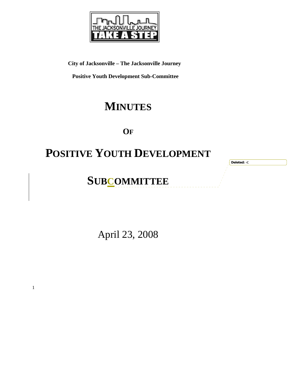

**City of Jacksonville – The Jacksonville Journey** 

 **Positive Youth Development Sub-Committee** 

## **MINUTES**

**OF**

# **POSITIVE YOUTH DEVELOPMENT**

**Deleted: -C**

## **SUBCOMMITTEE**

April 23, 2008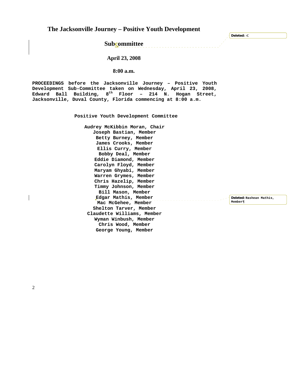**The Jacksonville Journey – Positive Youth Development** 

**Subcommittee** 

#### **April 23, 2008**

#### **8:00 a.m.**

**PROCEEDINGS before the Jacksonville Journey – Positive Youth Development Sub-Committee taken on Wednesday, April 23, 2008, Edward Ball Building, 8th Floor – 214 N. Hogan Street, Jacksonville, Duval County, Florida commencing at 8:00 a.m.** 

**Positive Youth Development Committee** 

**Audrey McKibbin Moran, Chair Joseph Bastian, Member Betty Burney, Member James Crooks, Member Ellis Curry, Member Bobby Deal, Member Eddie Diamond, Member Carolyn Floyd, Member Maryam Ghyabi, Member Warren Grymes, Member Chris Hazelip, Member Timmy Johnson, Member Bill Mason, Member Edgar Mathis, Member Mac McGehee, Member Shelton Tarver, Member Claudette Williams, Member Wyman Winbush, Member Chris Wood, Member George Young, Member** 

 $\begin{array}{cccccccccc} \bot & \bot & \bot & \bot & \bot & \bot \end{array}$ 

**Deleted: Rashean Mathis, Member¶**

**Deleted: -C**

2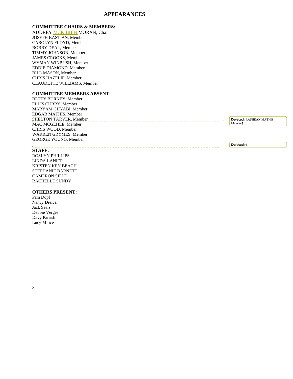#### **APPEARANCES**

#### **COMMITTEE CHAIRS & MEMBERS:**

**AUDREY MCKIBBIN MORAN, Chair** JOSEPH BASTIAN, Member CAROLYN FLOYD, Member BOBBY DEAL, Member TIMMY JOHNSON, Member JAMES CROOKS, Member WYMAN WINBUSH, Member EDDIE DIAMOND, Member BILL MASON, Member CHRIS HAZELIP, Member CLAUDETTE WILLIAMS, Member

#### **COMMITTEE MEMBERS ABSENT:**

| <b>BETTY BURNEY, Member</b>                             |                          |
|---------------------------------------------------------|--------------------------|
| ELLIS CURRY, Member                                     |                          |
| MARYAM GHYABI, Member                                   |                          |
| EDGAR MATHIS, Member                                    |                          |
| SHELTON TARVER, Member                                  | Deleted: RASHEAN MATHIS. |
| MAC MCGEHEE, Member                                     | Member                   |
| CHRIS WOOD, Member                                      |                          |
| <b>WARREN GRYMES, Member</b>                            |                          |
| <b>GEORGE YOUNG, Member</b>                             |                          |
|                                                         | Deleted: ¶               |
| $C_{\mathbf{r}}$ $\mathbf{r}$ $\mathbf{r}$ $\mathbf{r}$ |                          |

### **STAFF:**

ROSLYN PHILLIPS LINDA LANIER KRISTEN KEY BEACH STEPHANIE BARNETT CAMERON SIPLE RACHELLE SUNDY

#### **OTHERS PRESENT:**

Pam Dopf Nancy Dreicer Jack Sears Debbie Verges Davy Parrish Lucy Milice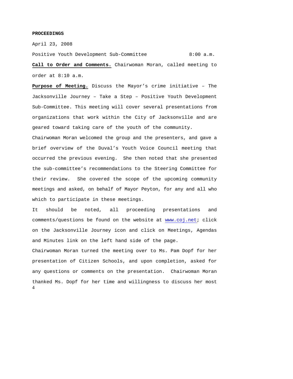#### **PROCEEDINGS**

April 23, 2008

Positive Youth Development Sub-Committee 8:00 a.m.

**Call to Order and Comments.** Chairwoman Moran, called meeting to order at 8:10 a.m.

**Purpose of Meeting.** Discuss the Mayor's crime initiative – The Jacksonville Journey – Take a Step – Positive Youth Development Sub-Committee. This meeting will cover several presentations from organizations that work within the City of Jacksonville and are geared toward taking care of the youth of the community.

Chairwoman Moran welcomed the group and the presenters, and gave a brief overview of the Duval's Youth Voice Council meeting that occurred the previous evening. She then noted that she presented the sub-committee's recommendations to the Steering Committee for their review. She covered the scope of the upcoming community meetings and asked, on behalf of Mayor Peyton, for any and all who which to participate in these meetings.

It should be noted, all proceeding presentations and comments/questions be found on the website at www.coj.net; click on the Jacksonville Journey icon and click on Meetings, Agendas and Minutes link on the left hand side of the page.

4 Chairwoman Moran turned the meeting over to Ms. Pam Dopf for her presentation of Citizen Schools, and upon completion, asked for any questions or comments on the presentation. Chairwoman Moran thanked Ms. Dopf for her time and willingness to discuss her most